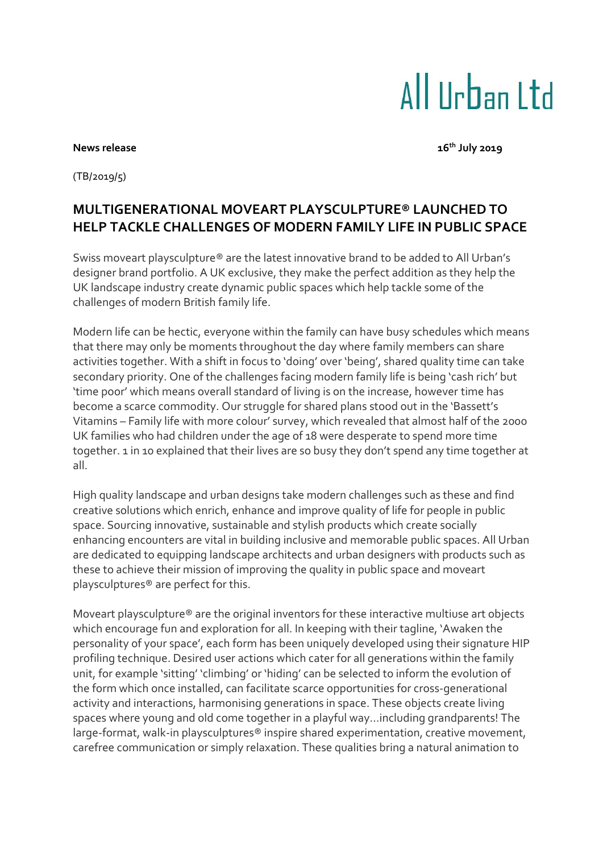# All IIrban I td

#### **News** release

**th July 2019**

(TB/2019/5)

# **MULTIGENERATIONAL MOVEART PLAYSCULPTURE® LAUNCHED TO HELP TACKLE CHALLENGES OF MODERN FAMILY LIFE IN PUBLIC SPACE**

Swiss moveart playsculpture® are the latest innovative brand to be added to All Urban's designer brand portfolio. A UK exclusive, they make the perfect addition as they help the UK landscape industry create dynamic public spaces which help tackle some of the challenges of modern British family life.

Modern life can be hectic, everyone within the family can have busy schedules which means that there may only be moments throughout the day where family members can share activities together. With a shift in focus to 'doing' over 'being', shared quality time can take secondary priority. One of the challenges facing modern family life is being 'cash rich' but 'time poor' which means overall standard of living is on the increase, however time has become a scarce commodity. Our struggle for shared plans stood out in the 'Bassett's Vitamins – Family life with more colour' survey, which revealed that almost half of the 2000 UK families who had children under the age of 18 were desperate to spend more time together. 1 in 10 explained that their lives are so busy they don't spend any time together at all.

High quality landscape and urban designs take modern challenges such as these and find creative solutions which enrich, enhance and improve quality of life for people in public space. Sourcing innovative, sustainable and stylish products which create socially enhancing encounters are vital in building inclusive and memorable public spaces. All Urban are dedicated to equipping landscape architects and urban designers with products such as these to achieve their mission of improving the quality in public space and moveart playsculptures® are perfect for this.

Moveart playsculpture® are the original inventors for these interactive multiuse art objects which encourage fun and exploration for all. In keeping with their tagline, 'Awaken the personality of your space', each form has been uniquely developed using their signature HIP profiling technique. Desired user actions which cater for all generations within the family unit, for example 'sitting' 'climbing' or 'hiding' can be selected to inform the evolution of the form which once installed, can facilitate scarce opportunities for cross-generational activity and interactions, harmonising generations in space. These objects create living spaces where young and old come together in a playful way…including grandparents! The large-format, walk-in playsculptures® inspire shared experimentation, creative movement, carefree communication or simply relaxation. These qualities bring a natural animation to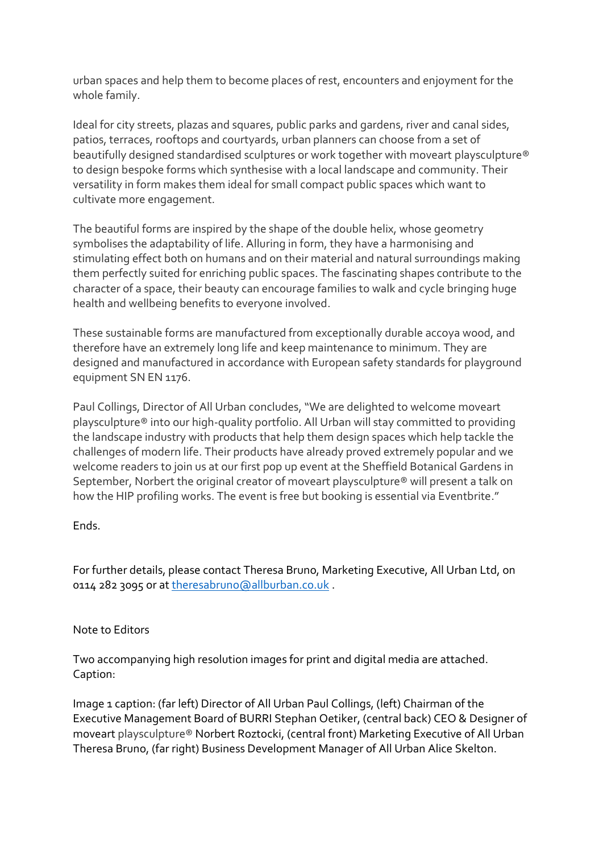urban spaces and help them to become places of rest, encounters and enjoyment for the whole family.

Ideal for city streets, plazas and squares, public parks and gardens, river and canal sides, patios, terraces, rooftops and courtyards, urban planners can choose from a set of beautifully designed standardised sculptures or work together with moveart playsculpture® to design bespoke forms which synthesise with a local landscape and community. Their versatility in form makes them ideal for small compact public spaces which want to cultivate more engagement.

The beautiful forms are inspired by the shape of the double helix, whose geometry symbolises the adaptability of life. Alluring in form, they have a harmonising and stimulating effect both on humans and on their material and natural surroundings making them perfectly suited for enriching public spaces. The fascinating shapes contribute to the character of a space, their beauty can encourage families to walk and cycle bringing huge health and wellbeing benefits to everyone involved.

These sustainable forms are manufactured from exceptionally durable accoya wood, and therefore have an extremely long life and keep maintenance to minimum. They are designed and manufactured in accordance with European safety standards for playground equipment SN EN 1176.

Paul Collings, Director of All Urban concludes, "We are delighted to welcome moveart playsculpture® into our high-quality portfolio. All Urban will stay committed to providing the landscape industry with products that help them design spaces which help tackle the challenges of modern life. Their products have already proved extremely popular and we welcome readers to join us at our first pop up event at the Sheffield Botanical Gardens in September, Norbert the original creator of moveart playsculpture® will present a talk on how the HIP profiling works. The event is free but booking is essential via Eventbrite."

## Ends.

For further details, please contact Theresa Bruno, Marketing Executive, All Urban Ltd, on 0114 282 3095 or a[t theresabruno@allburban.co.uk](mailto:theresabruno@allburban.co.uk) .

### Note to Editors

Two accompanying high resolution images for print and digital media are attached. Caption:

Image 1 caption: (far left) Director of All Urban Paul Collings, (left) Chairman of the Executive Management Board of BURRI Stephan Oetiker, (central back) CEO & Designer of moveart playsculpture® Norbert Roztocki, (central front) Marketing Executive of All Urban Theresa Bruno, (far right) Business Development Manager of All Urban Alice Skelton.